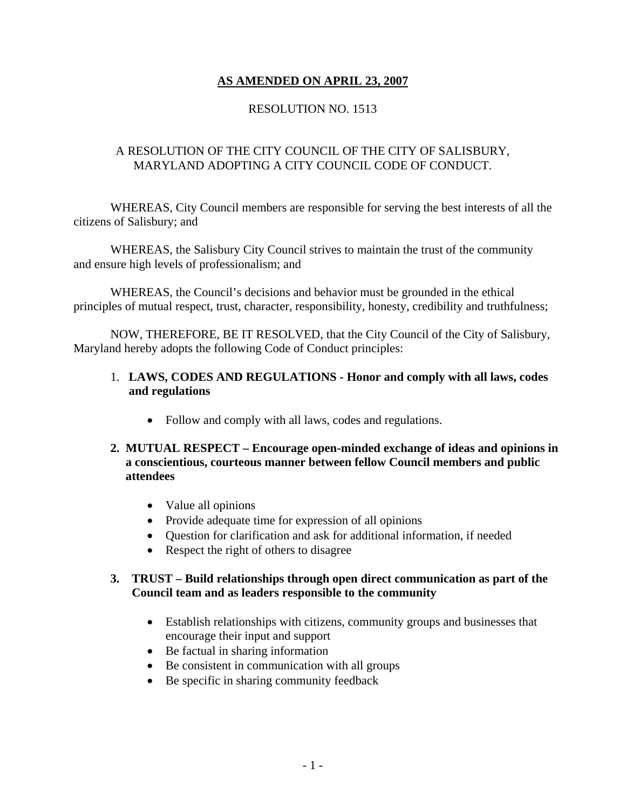# **AS AMENDED ON APRIL 23, 2007**

## RESOLUTION NO. 1513

## A RESOLUTION OF THE CITY COUNCIL OF THE CITY OF SALISBURY, MARYLAND ADOPTING A CITY COUNCIL CODE OF CONDUCT.

 WHEREAS, City Council members are responsible for serving the best interests of all the citizens of Salisbury; and

 WHEREAS, the Salisbury City Council strives to maintain the trust of the community and ensure high levels of professionalism; and

 WHEREAS, the Council's decisions and behavior must be grounded in the ethical principles of mutual respect, trust, character, responsibility, honesty, credibility and truthfulness;

 NOW, THEREFORE, BE IT RESOLVED, that the City Council of the City of Salisbury, Maryland hereby adopts the following Code of Conduct principles:

## 1. **LAWS, CODES AND REGULATIONS - Honor and comply with all laws, codes and regulations**

• Follow and comply with all laws, codes and regulations.

#### **2. MUTUAL RESPECT – Encourage open-minded exchange of ideas and opinions in a conscientious, courteous manner between fellow Council members and public attendees**

- Value all opinions
- Provide adequate time for expression of all opinions
- Question for clarification and ask for additional information, if needed
- Respect the right of others to disagree

#### **3. TRUST – Build relationships through open direct communication as part of the Council team and as leaders responsible to the community**

- Establish relationships with citizens, community groups and businesses that encourage their input and support
- Be factual in sharing information
- Be consistent in communication with all groups
- Be specific in sharing community feedback